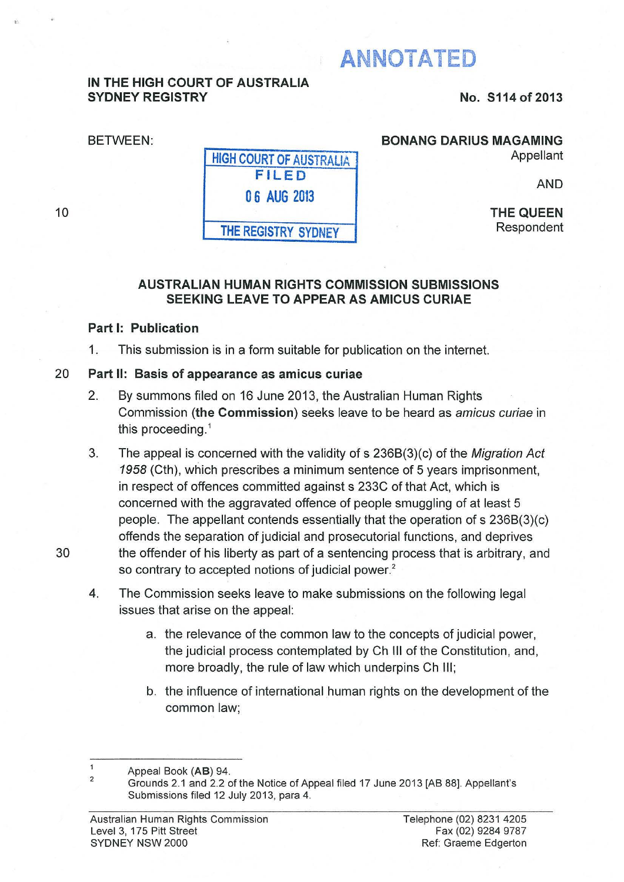# **ANNOTATED**

### **IN THE HIGH COURT OF AUSTRALIA SYDNEY REGISTRY**

**No. S114 of 2013** 

BETWEEN:

#### **BONANG DARIUS MAGAMING**

Appellant

AND

**THE QUEEN**  Respondent

# **AUSTRALIAN HUMAN RIGHTS COMMISSION SUBMISSIONS SEEKING LEAVE TO APPEAR AS AMICUS CURIAE**

### **Part 1: Publication**

1. This submission is in a form suitable for publication on the internet.

**HIGH COURT OF** AUSTRALIA **FILED** 

**0 6 AUG 2013** 

**THE REGISTRY SYDNEY** 

# 20 **Part II: Basis of appearance as amicus curiae**

- 2. By summons filed on 16 June 2013, the Australian Human Rights Commission **(the Commission)** seeks leave to be heard as amicus curiae in this proceeding. 1
- 3. The appeal is concerned with the validity of s 236B(3)(c) of the Migration Act 1958 (Cth}, which prescribes a minimum sentence of 5 years imprisonment, in respect of offences committed against s 233C of that Act, which is concerned with the aggravated offence of people smuggling of at least 5 people. The appellant contends essentially that the operation of s 236B(3)(c) offends the separation of judicial and prosecutorial functions, and deprives 30 the offender of his liberty as part of a sentencing process that is arbitrary, and so contrary to accepted notions of judicial power.<sup>2</sup>
	- 4. The Commission seeks leave to make submissions on the following legal issues that arise on the appeal:
		- a. the relevance of the common law to the concepts of judicial power, the judicial process contemplated by Ch Ill of the Constitution, and, more broadly, the rule of law which underpins Ch Ill;
		- b. the influence of international human rights on the development of the common law;

<sup>1</sup>  2 Appeal Book (AB) 94.

Grounds 2.1 and 2.2 of the Notice of Appeal filed 17 June 2013 [AB 88]. Appellant's Submissions filed 12 July 2013, para 4.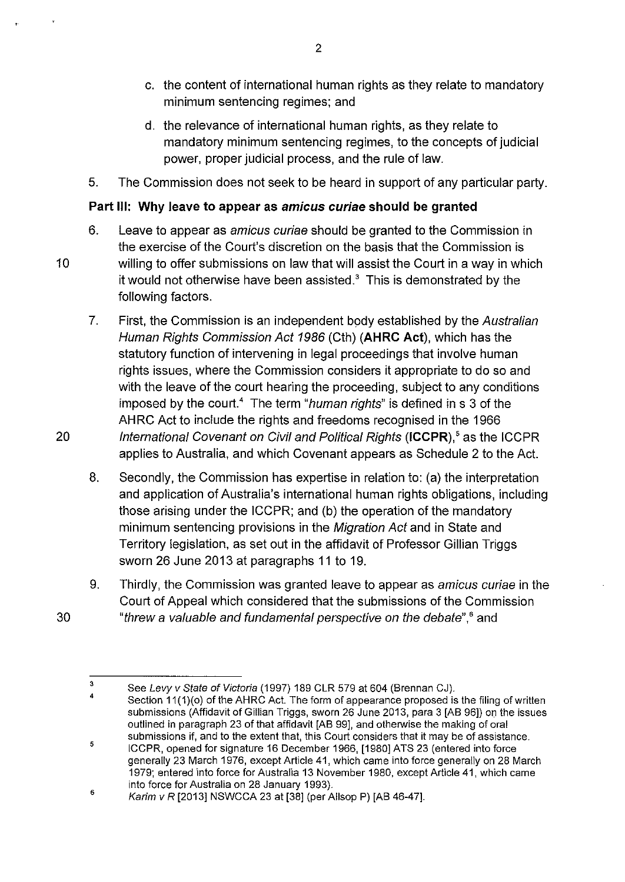- c. the content of international human rights as they relate to mandatory minimum sentencing regimes; and
- d. the relevance of international human rights, as they relate to mandatory minimum sentencing regimes, to the concepts of judicial power, proper judicial process, and the rule of law.
- 5. The Commission does not seek to be heard in support of any particular party.

#### **Part Ill: Why leave to appear as amicus curiae should be granted**

- 6. Leave to appear as amicus curiae should be granted to the Commission in the exercise of the Court's discretion on the basis that the Commission is 10 willing to offer submissions on law that will assist the Court in a way in which it would not otherwise have been assisted. $3$  This is demonstrated by the following factors.
- 7. First, the Commission is an independent body established by the Australian Human Rights Commission Act 1986 (Cth) **(AHRC Act),** which has the statutory function of intervening in legal proceedings that involve human rights issues, where the Commission considers it appropriate to do so and with the leave of the court hearing the proceeding, subject to any conditions imposed by the court.<sup>4</sup> The term "human rights" is defined in s 3 of the AHRC Act to include the rights and freedoms recognised in the 1966 20 International Covenant on Civil and Political Rights **(ICCPR)**,<sup>5</sup> as the ICCPR applies to Australia, and which Covenant appears as Schedule 2 to the Act.
	- 8. Secondly, the Commission has expertise in relation to: (a) the interpretation and application of Australia's international human rights obligations, including those arising under the ICCPR; and (b) the operation of the mandatory minimum sentencing provisions in the Migration Act and in State and Territory legislation, as set out in the affidavit of Professor Gillian Triggs sworn 26 June 2013 at paragraphs 11 to 19.
- 9. Thirdly, the Commission was granted leave to appear as amicus curiae in the Court of Appeal which considered that the submissions of the Commission 30 "threw a valuable and fundamental perspective on the debate",<sup>6</sup> and

<sup>3</sup>  See Levy v State of Victoria (1997) 189 CLR 579 at 604 (Brennan CJ).

<sup>4</sup>  Section 11(1)(o) of the AHRC Act. The form of appearance proposed is the filing of written submissions (Affidavit of Gillian Triggs, sworn 26 June 2013, para 3 [AB 96]) on the issues outlined in paragraph 23 of that affidavit [AB 99], and otherwise the making of oral submissions if, and to the extent that, this Court considers that it may be of assistance.

<sup>5</sup>  ICCPR, opened for signature 16 December 1966, [1980] ATS 23 (entered into force generally 23 March 1976, except Article 41, which came into force generally on 28 March 1979; entered into force for Australia 13 November 1980, except Article 41, which came into force for Australia on 28 January 1993).

<sup>6</sup>  Karim v R [2013] NSWCCA 23 at [38] (per Allsop P) [AB 46-47].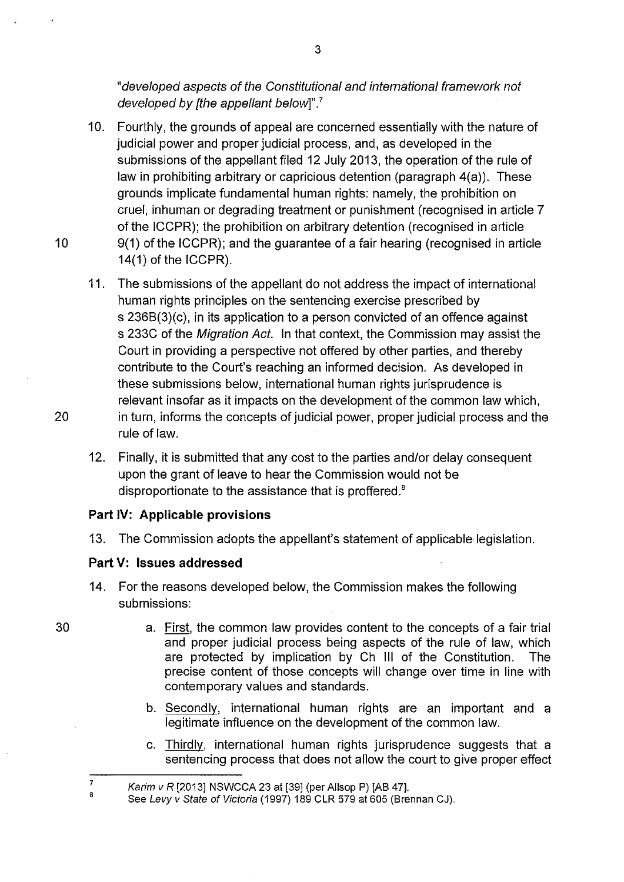"developed aspects of the Constitutional and international framework not developed *by* [the appellant below]". *<sup>7</sup>*

- 10. Fourthly, the grounds of appeal are concerned essentially with the nature of judicial power and proper judicial process, and, as developed in the submissions of the appellant filed 12 July 2013, the operation of the rule of law in prohibiting arbitrary or capricious detention (paragraph 4(a)). These grounds implicate fundamental human rights: namely, the prohibition on cruel, inhuman or degrading treatment or punishment (recognised in article 7 of the ICCPR); the prohibition on arbitrary detention (recognised in article 10 9(1) of the ICCPR); and the guarantee of a fair hearing (recognised in article 14(1) of the ICCPR).
- 11. The submissions of the appellant do not address the impact of international human rights principles on the sentencing exercise prescribed by s 236B(3)(c), in its application to a person convicted of an offence against s 233C of the Migration Act. In that context, the Commission may assist the Court in providing a perspective not offered by other parties, and thereby contribute to the Court's reaching an informed decision. As developed in these submissions below, international human rights jurisprudence is relevant insofar as it impacts on the development of the common law which, 20 in turn, informs the concepts of judicial power, proper judicial process and the rule of law.
	- 12. Finally, it is submitted that any cost to the parties and/or delay consequent upon the grant of leave to hear the Commission would not be disproportionate to the assistance that is proffered.<sup>8</sup>

#### **Part IV: Applicable provisions**

13. The Commission adopts the appellant's statement of applicable legislation.

#### **Part V: Issues addressed**

- 14. For the reasons developed below, the Commission makes the following submissions:
	- a. First, the common law provides content to the concepts of a fair trial and proper judicial process being aspects of the rule of law, which are protected by implication by Ch Ill of the Constitution. The precise content of those concepts will change over time in line with contemporary values and standards.
	- b. Secondly, international human rights are an important and a legitimate influence on the development of the common law.
	- c. Thirdly, international human rights jurisprudence suggests that a sentencing process that does not allow the court to give proper effect

30

7 6

Karim v R  $[2013]$  NSWCCA 23 at  $[39]$  (per Allsop P)  $[AB 47]$ .

See Levy v State of Victoria (1997) 189 CLR 579 at 605 (Brennan CJ).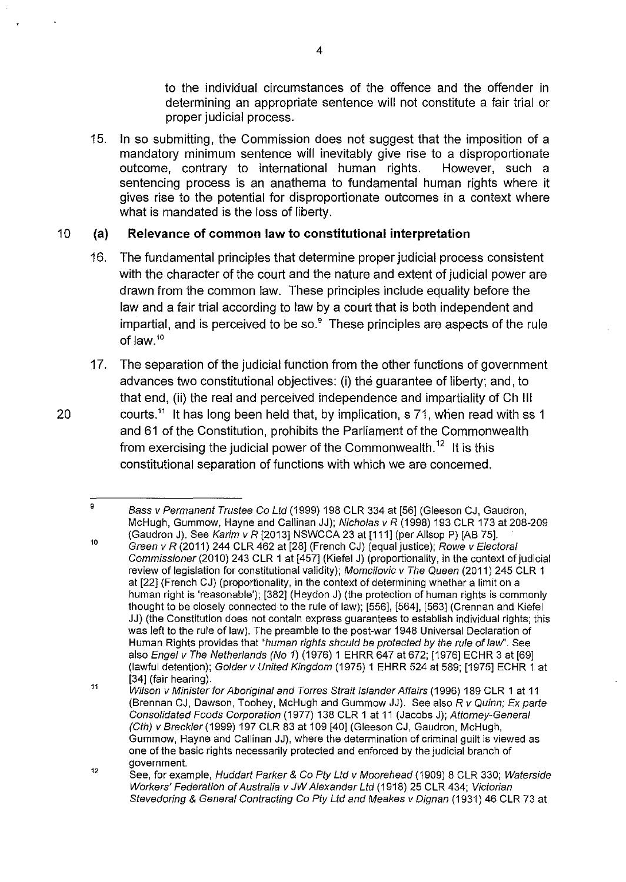to the individual circumstances of the offence and the offender in determining an appropriate sentence will not constitute a fair trial or proper judicial process.

15. In so submitting, the Commission does not suggest that the imposition of a mandatory minimum sentence will inevitably give rise to a disproportionate outcome, contrary to international human rights. However, such a sentencing process is an anathema to fundamental human rights where it gives rise to the potential for disproportionate outcomes in a context where what is mandated is the loss of liberty.

# 10 **(a) Relevance of common law to constitutional interpretation**

- 16. The fundamental principles that determine proper judicial process consistent with the character of the court and the nature and extent of judicial power are drawn from the common law. These principles include equality before the law and a fair trial according to law by a court that is both independent and impartial, and is perceived to be so.<sup>9</sup> These principles are aspects of the rule of law. <sup>10</sup>
- 17. The separation of the judicial function from the other functions of government advances two constitutional objectives: (i) the guarantee of liberty; and, to that end, (ii) the real and perceived independence and impartiality of Ch Ill 20 courts.<sup>11</sup> It has long been held that, by implication, s 71, when read with ss 1 and 61 of the Constitution, prohibits the Parliament of the Commonwealth from exercising the judicial power of the Commonwealth.<sup>12</sup> It is this constitutional separation of functions with which we are concerned.

Bass v Permanent Trustee Co Ltd (1999) 198 CLR 334 at [56] (Gleeson CJ, Gaudron, McHugh, Gummow, Hayne and Callinan JJ); Nicholas v R (1998) 193 CLR 173 at 208-209 (Gaudron J). See Karim v R [2013] NSWCCA 23 at [111] (per Allsop P) [AB 75].

<sup>10</sup>  Green v R (2011) 244 CLR 462 at [28] (French CJ) (equal justice); Rowe v Electoral Commissioner (2010) 243 CLR 1 at [457] (Kiefel J) (proportionality, in the context of judicial review of legislation for constitutional validity); Momcilovic v The Queen (2011) 245 CLR 1 at [22] (French CJ) (proportionality, in the context of determining whether a limit on a human right is 'reasonable'); [382] (Heydon J) (the protection of human rights is commonly thought to be closely connected to the rule of law); [556], [564], [563] (Grennan and Kiefel JJ) (the Constitution does not contain express guarantees to establish individual rights; this was left to the rule of law). The preamble to the post-war 1948 Universal Declaration of Human Rights provides that "human rights should be protected by the rule of law". See also Engel v The Netherlands (No 1) (1976) 1 EHRR 647 at 672; [1976] ECHR 3 at [69] (lawful detention); Golder v United Kingdom (1975) 1 EHRR 524 at 589; [1975] ECHR 1 at [34] (fair hearing).

<sup>11</sup>  Wilson v Minister for Aboriginal and Torres Strait Islander Affairs (1996) 189 CLR 1 at 11 (Brennan CJ, Dawson, Toohey, McHugh and Gummow JJ). See also R v Quinn; Ex parte Consolidated Foods Corporation (1977) 138 CLR 1 at 11 (Jacobs J); Attorney-General (Cth) v Breckler(1999) 197 CLR 83 at 109 [40] (Gleeson CJ, Gaudron, McHugh, Gummow, Hayne and Callinan JJ), where the determination of criminal guilt is viewed as one of the basic rights necessarily protected and enforced by the judicial branch of government.

<sup>12</sup>  See, for example, Huddart Parker & Co Pty Ltd v Moorehead (1909) 8 CLR 330; Waterside Workers' Federation of Australia v JW Alexander Ltd (1918) 25 CLR 434; Victorian Stevedoring & General Contracting Co Pty Ltd and Meakes v Dignan (1931) 46 CLR 73 at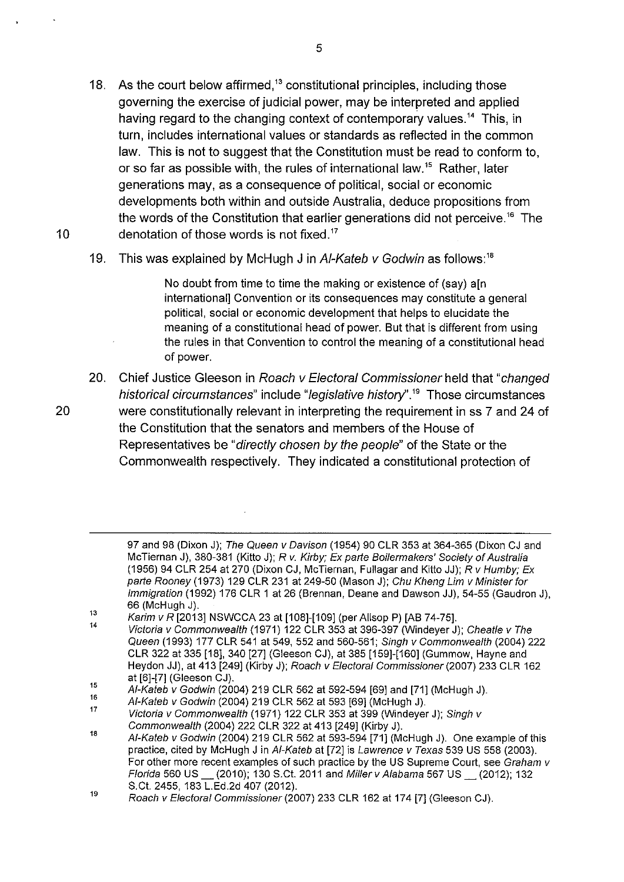- 18. As the court below affirmed,<sup>13</sup> constitutional principles, including those governing the exercise of judicial power, may be interpreted and applied having regard to the changing context of contemporary values.<sup>14</sup> This, in turn, includes international values or standards as reflected in the common law. This is not to suggest that the Constitution must be read to conform to. or so far as possible with, the rules of international law.<sup>15</sup> Rather, later generations may, as a consequence of political, social or economic developments both within and outside Australia, deduce propositions from the words of the Constitution that earlier generations did not perceive.<sup>16</sup> The 10 denotation of those words is not fixed.<sup>17</sup>
	- 19. This was explained by McHugh J in Al-Kateb v Godwin as follows:<sup>18</sup>

No doubt from time to time the making or existence of (say) a[n international] Convention or its consequences may constitute a general political, social or economic development that helps to elucidate the meaning of a constitutional head of power. But that is different from using the rules in that Convention to control the meaning of a constitutional head of power.

20. Chief Justice Gleeson in Roach v Electoral Commissioner held that "changed historical circumstances" include "legislative history".<sup>19</sup> Those circumstances 20 were constitutionally relevant in interpreting the requirement in ss 7 and 24 of the Constitution that the senators and members of the House of Representatives be "directly chosen by the people" of the State or the Commonwealth respectively. They indicated a constitutional protection of

<sup>97</sup> and 98 (Dixon J); The Queen v Davison (1954) 90 CLR 353 at 364-365 (Dixon CJ and McTiernan J), 380-381 (Kitto J); R v. Kirby; Ex parte Boilermakers' Society of Australia (1956) 94 CLR 254 at 270 (Dixon CJ, McTiernan, Fullagar and Kitto JJ); R v Humby; Ex parte Rooney (1973) 129 CLR 231 at 249-50 (Mason J); Chu Kheng Lim v Minister for Immigration (1992) 176 CLR 1 at 26 (Brennan, Deane and Dawson JJ), 54-55 (Gaudron J), 66 (McHugh J).

<sup>13</sup>  14 Karim v R [2013] NSWCCA 23 at [108]-[109] (per Allsop P) [AB 74-75].

Victoria v Commonwealth (1971) 122 CLR 353 at 396-397 (Windeyer J); Cheatle v The Queen (1993) 177 CLR 541 at 549, 552 and 560-561; Singh v Commonwealth (2004) 222 CLR 322 at 335 [18], 340 [27] (Gleeson CJ), at 385 [159]-[160] (Gummow, Hayne and Heydon JJ), at 413 [249] (Kirby J); Roach v Electoral Commissioner (2007) 233 CLR 162 at [6]-[7] (Gleeson CJ).

<sup>15</sup>  AI-Kateb v Godwin (2004) 219 CLR 562 at 592-594 [69] and [71] (McHugh J).

<sup>16</sup>  17 AI-Kateb v Godwin (2004) 219 CLR 562 at 593 [69] (McHugh J).

Victoria v Commonwealth (1971) 122 CLR 353 at 399 (Windeyer J); Singh v Commonwealth (2004) 222 CLR 322 at 413 [249] (Kirby J).

<sup>18</sup>  AI-Kateb v Godwin (2004) 219 CLR 562 at 593-594 [71] (McHugh J). One example of this practice, cited by McHugh J in AI-Kateb at [72] is Lawrence v Texas 539 US 558 (2003). For other more recent examples of such practice by the US Supreme Court, see Graham v Florida 560 US\_ (2010); 130 S.Ct. 2011 and Miller v Alabama 567 US\_ (2012); 132 S.Ct. 2455, 183 L.Ed.2d 407 (2012).

<sup>19</sup>  Roach v Electoral Commissioner (2007) 233 CLR 162 at 174 [7] (Gleeson CJ).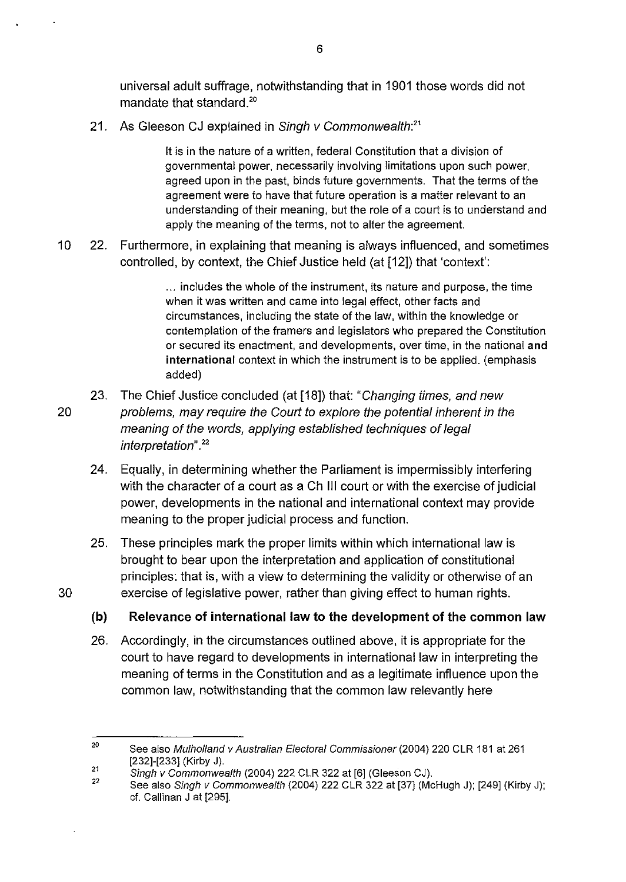universal adult suffrage, notwithstanding that in 1901 those words did not mandate that standard.<sup>20</sup>

21. As Gleeson CJ explained in Singh v Commonwealth:<sup>21</sup>

It is in the nature of a written, federal Constitution that a division of governmental power, necessarily involving limitations upon such power, agreed upon in the past, binds future governments. That the terms of the agreement were to have that future operation is a matter relevant to an understanding of their meaning, but the role of a court is to understand and apply the meaning of the terms, not to alter the agreement.

10 22. Furthermore, in explaining that meaning is always influenced, and sometimes controlled, by context, the Chief Justice held (at [12]) that 'context':

> ... includes the whole of the instrument, its nature and purpose, the time when it was written and came into legal effect, other facts and circumstances, including the state of the law, within the knowledge or contemplation of the framers and legislators who prepared the Constitution or secured its enactment, and developments, over time, in the national **and international** context in which the instrument is to be applied. (emphasis added)

- 23. The Chief Justice concluded (at [18]) that: "Changing times, and new 20 problems, may require the Court to explore the potential inherent in the meaning of the words, applying established techniques of legal interpretation". <sup>22</sup>
	- 24. Equally, in determining whether the Parliament is impermissibly interfering with the character of a court as a Ch Ill court or with the exercise of judicial power, developments in the national and international context may provide meaning to the proper judicial process and function.
- 25. These principles mark the proper limits within which international law is brought to bear upon the interpretation and application of constitutional principles: that is, with a view to determining the validity or otherwise of an 30 exercise of legislative power, rather than giving effect to human rights.

**(b) Relevance of international law to the development of the common law** 

26. Accordingly, in the circumstances outlined above, it is appropriate for the court to have regard to developments in international law in interpreting the meaning of terms in the Constitution and as a legitimate influence upon the common law, notwithstanding that the common law relevantly here

<sup>20</sup>  21 See also Mulholland v Australian Electoral Commissioner (2004) 220 CLR 181 at 261 [232]-[233] (Kirby J).

Singh v Commonwealth (2004) 222 CLR 322 at [6] (Gleeson CJ).

<sup>22</sup>  See also Singh v Commonwealth (2004) 222 CLR 322 at [37] (McHugh J); [249] (Kirby J); cf. Callinan J at [295].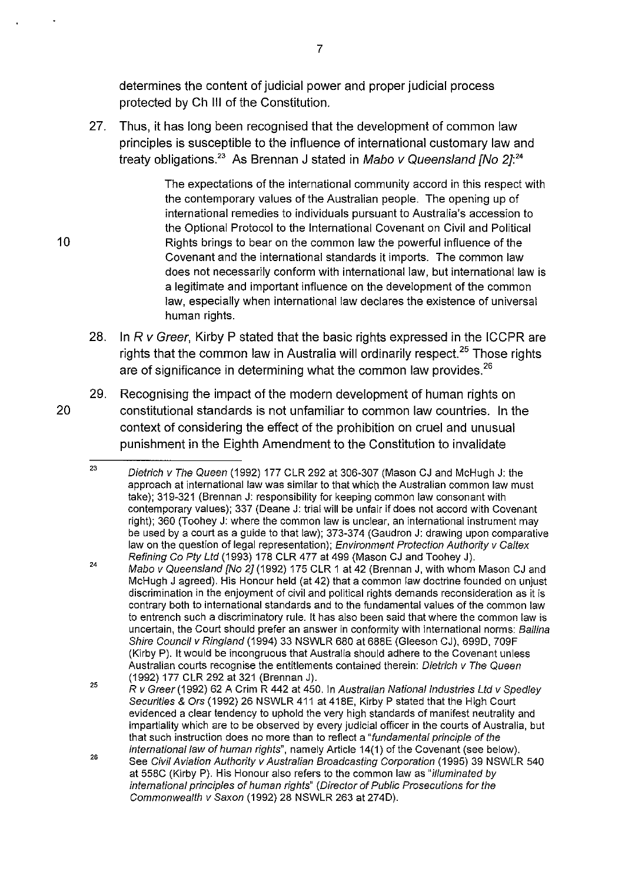determines the content of judicial power and proper judicial process protected by Ch Ill of the Constitution.

27. Thus, it has long been recognised that the development of common law principles is susceptible to the influence of international customary law and treaty obligations.<sup>23</sup> As Brennan J stated in Mabo v Queensland [No 2]:<sup>24</sup>

The expectations of the international community accord in this respect with the contemporary values of the Australian people. The opening up of international remedies to individuals pursuant to Australia's accession to the Optional Protocol to the International Covenant on Civil and Political 10 Rights brings to bear on the common law the powerful influence of the Covenant and the international standards it imports. The common law does not necessarily conform with international law, but international law is a legitimate and important influence on the development of the common law, especially when international law declares the existence of universal human rights.

- 28. In R v Greer, Kirby P stated that the basic rights expressed in the ICCPR are rights that the common law in Australia will ordinarily respect.<sup>25</sup> Those rights are of significance in determining what the common law provides.  $26$
- 29. Recognising the impact of the modern development of human rights on 20 constitutional standards is not unfamiliar to common law countries. In the context of considering the effect of the prohibition on cruel and unusual punishment in the Eighth Amendment to the Constitution to invalidate

<sup>23</sup>  Dietrich v The Queen (1992) 177 CLR 292 at 306-307 (Mason CJ and McHugh J: the approach at international law was similar to that whicb the Australian common law must take); 319-321 (Brennan J: responsibility for keeping common law consonant with contemporary values); 337 (Deane J: trial will be unfair if does not accord with Covenant right); 360 (Toohey J: where the common law is unclear, an international instrument may be used by a court as a guide to that law); 373-374 (Gaudron J: drawing upon comparative law on the question of legal representation); Environment Protection Authority v Caltex Refining Co Pty Ltd (1993) 178 CLR 477 at 499 (Mason CJ and Toohey J).

<sup>24</sup>  Mabo v Queensland [No 2] (1992) 175 CLR 1 at 42 (Brennan J, with whom Mason CJ and McHugh J agreed). His Honour held (at 42) that a common law doctrine founded on unjust discrimination in the enjoyment of civil and political rights demands reconsideration as it is contrary both to international standards and to the fundamental values of the common law to entrench such a discriminatory rule. It has also been said that where the common law is uncertain, the Court should prefer an answer in conformity with international norms: Bellina Shire Council v Ringland (1994) 33 NSWLR 680 at 688E (Gleeson CJ), 699D, 709F (Kirby P). It would be incongruous that Australia should adhere to the Covenant unless Australian courts recognise the entitlements contained therein: Dietrich v The Queen (1992) 177 CLR 292 at 321 (Brennan J).

<sup>25</sup>  R v Greer (1992) 62 A Crim R 442 at 450. In Australian National Industries Ltd v Spedley Securities & Ors (1992) 26 NSWLR 411 at 418E, Kirby P stated that the High Court evidenced a clear tendency to uphold the very high standards of manifest neutrality and impartiality which are to be observed by every judicial officer in the courts of Australia, but that such instruction does no more than to reflect a "fundamental principle of the international law of human rights", namely Article 14(1) of the Covenant (see below).

<sup>26</sup>  See Civil Aviation Authority v Australian Broadcasting Corporation (1995) 39 NSWLR 540 at 558C (Kirby P). His Honour also refers to the common law as "illuminated by international principles of human rights" (Director of Public Prosecutions for the Commonwealth v Saxon (1992) 28 NSWLR 263 at 2740).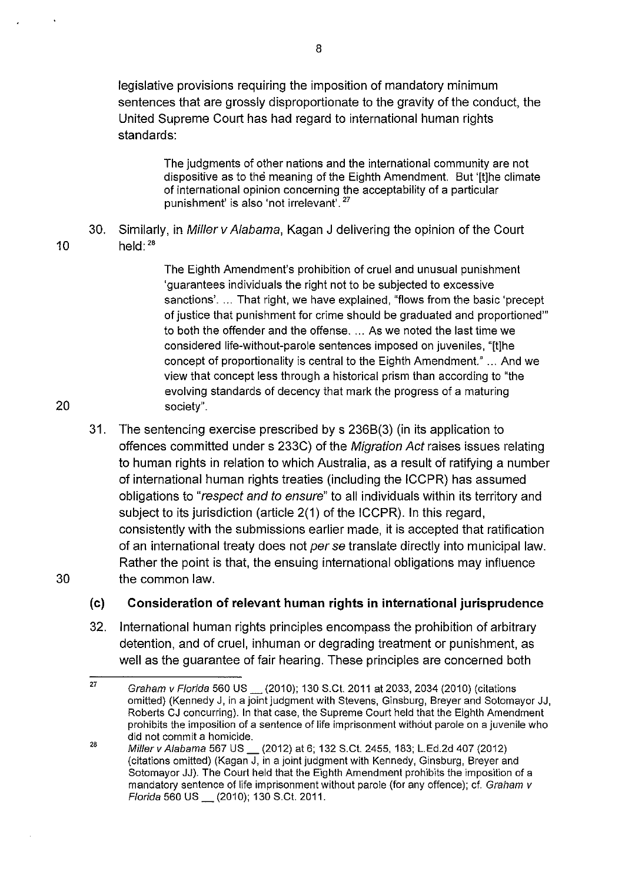legislative provisions requiring the imposition of mandatory minimum sentences that are grossly disproportionate to the gravity of the conduct, the United Supreme Court has had regard to international human rights standards:

> The judgments of other nations and the international community are not dispositive as to the meaning of the Eighth Amendment. But '[t]he climate of international opinion concerning the acceptability of a particular punishment' is also 'not irrelevant'.<sup>27</sup>

30. Similarly, in Miller v Alabama, Kagan J delivering the opinion of the Court 10 held:  $2^8$ 

> The Eighth Amendment's prohibition of cruel and unusual punishment 'guarantees individuals the right not to be subjected to excessive sanctions'. ... That right, we have explained, "flows from the basic 'precept of justice that punishment for crime should be graduated and proportioned"' to both the offender and the offense. ... As we noted the last time we considered life-without-parole sentences imposed on juveniles, "[t]he concept of proportionality is central to the Eighth Amendment." ... And we view that concept less through a historical prism than according to "the evolving standards of decency that mark the progress of a maturing society".

31. The sentencing exercise prescribed by s 2368(3) (in its application to offences committed under s 233C) of the Migration Act raises issues relating to human rights in relation to which Australia, as a result of ratifying a number of international human rights treaties (including the ICCPR) has assumed obligations to "respect and to ensure" to all individuals within its territory and subject to its jurisdiction (article 2(1) of the ICCPR). In this regard, consistently with the submissions earlier made, it is accepted that ratification of an international treaty does not per se translate directly into municipal law. Rather the point is that, the ensuing international obligations may influence 30 the common law.

#### (c) **Consideration of relevant human rights in international jurisprudence**

32. International human rights principles encompass the prohibition of arbitrary detention, and of cruel, inhuman or degrading treatment or punishment, as well as the guarantee of fair hearing. These principles are concerned both

8

<sup>27</sup>  28 Graham v Florida 560 US \_ (2010); 130 S.Ct. 2011 at 2033, 2034 (2010) (citations omitted) (Kennedy J, in a joint judgment with Stevens, Ginsburg, Breyer and Sotomayor JJ, Roberts CJ concurring). In that case, the Supreme Court held that the Eighth Amendment prohibits the imposition of a sentence of life imprisonment without parole on a juvenile who did not commit a homicide.

Miller v Alabama 567 US \_\_ (2012) at 6; 132 S.Ct. 2455, 183; L.Ed.2d 407 (2012) (citations omitted) (Kagan J, in a joint judgment with Kennedy, Ginsburg, Breyer and Sotomayor JJ). The Court held that the Eighth Amendment prohibits the imposition of a mandatory sentence of life imprisonment without parole (for any offence); cf. Graham v Florida 560 US \_ (2010); 130 S.Ct. 2011.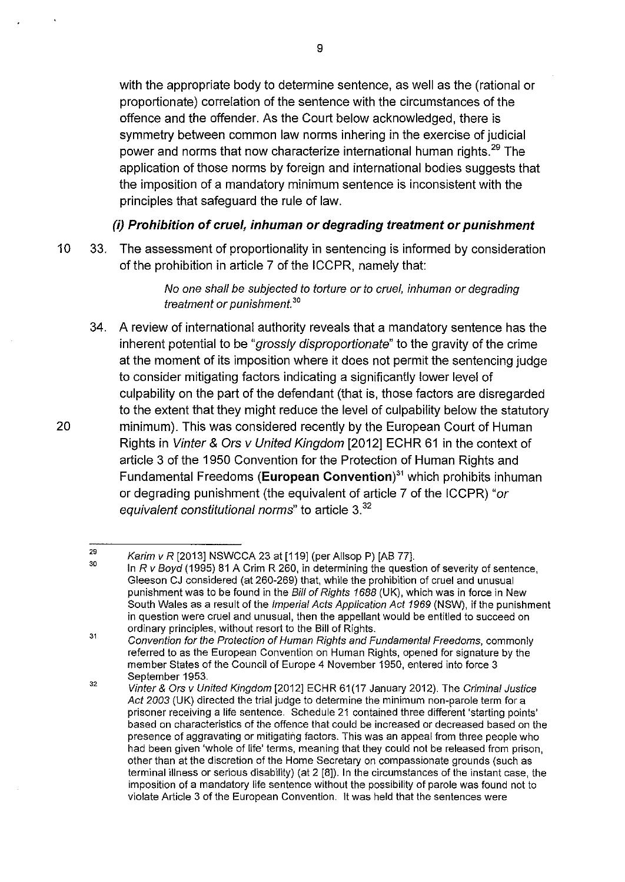with the appropriate body to determine sentence, as well as the (rational or proportionate) correlation of the sentence with the circumstances of the offence and the offender. As the Court below acknowledged, there is symmetry between common law norms inhering in the exercise of judicial power and norms that now characterize international human rights.<sup>29</sup> The application of those norms by foreign and international bodies suggests that the imposition of a mandatory minimum sentence is inconsistent with the principles that safeguard the rule of law.

# **(i) Prohibition of cruel, inhuman or degrading treatment or punishment**

10 33. The assessment of proportionality in sentencing is informed by consideration of the prohibition in article 7 of the ICCPR, namely that:

> No one shall be subjected to torture or to cruel, inhuman or degrading treatment or punishment. *<sup>30</sup>*

34. A review of international authority reveals that a mandatory sentence has the inherent potential to be "grossly disproportionate" to the gravity of the crime at the moment of its imposition where it does not permit the sentencing judge to consider mitigating factors indicating a significantly lower level of culpability on the part of the defendant (that is, those factors are disregarded to the extent that they might reduce the level of culpability below the statutory 20 minimum). This was considered recently by the European Court of Human Rights in Vinter & Ors v United Kingdom [2012] ECHR 61 in the context of article 3 of the 1950 Convention for the Protection of Human Rights and Fundamental Freedoms **(European Convention)<sup>31</sup>**which prohibits inhuman or degrading punishment (the equivalent of article 7 of the ICCPR) "or equivalent constitutional norms" to article 3.<sup>32</sup>

<sup>29</sup>  30 Karim v R [2013] NSWCCA 23 at [119] (per Allsop P) [AB 77].

In R v Boyd (1995) 81 A Grim R 260, in determining the question of severity of sentence, Gleeson CJ considered (at 260-269) that, while the prohibition of cruel and unusual punishment was to be found in the Bill of Rights 1688 (UK), which was in force in New South Wales as a result of the Imperial Acts Application Act 1969 (NSW), if the punishment in question were cruel and unusual, then the appellant would be entitled to succeed on ordinary principles, without resort to the Bill of Rights.

<sup>31</sup>  32 Convention for the Protection of Human Rights and Fundamental Freedoms, commonly referred to as the European Convention on Human Rights, opened for signature by the member States of the Council of Europe 4 November 1950, entered into force 3 September 1953.

Vinter & Ors v United Kingdom [2012] ECHR 61 (17 January 2012). The Criminal Justice Act 2003 (UK) directed the trial judge to determine the minimum non-parole term for a prisoner receiving a life sentence. Schedule 21 contained three different 'starting points' based on characteristics of the offence that could be increased or decreased based on the presence of aggravating or mitigating factors. This was an appeal from three people who had been given 'whole of life' terms, meaning that they could not be released from prison, other than at the discretion of the Home Secretary on compassionate grounds (such as terminal illness or serious disability) (at 2 [8]). In the circumstances of the instant case, the imposition of a mandatory life sentence without the possibility of parole was found not to violate Article 3 of the European Convention. It was held that the sentences were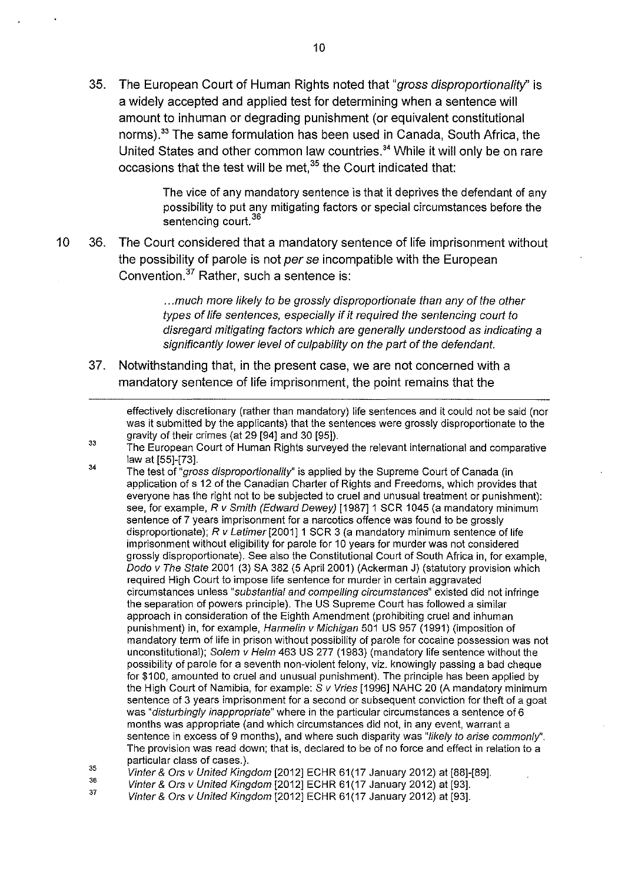35. The European Court of Human Rights noted that "gross disproportionality" is a widely accepted and applied test for determining when a sentence will amount to inhuman or degrading punishment (or equivalent constitutional norms).<sup>33</sup> The same formulation has been used in Canada, South Africa, the United States and other common law countries.<sup>34</sup> While it will only be on rare occasions that the test will be met,  $35$  the Court indicated that:

> The vice of any mandatory sentence is that it deprives the defendant of any possibility to put any mitigating factors or special circumstances before the sentencing court.<sup>36</sup>

10 36. The Court considered that a mandatory sentence of life imprisonment without the possibility of parole is not per se incompatible with the European Convention.37 Rather, such a sentence is:

> ... much more likely to be grossly disproportionate than any of the other types of life sentences, especially if it required the sentencing court to disregard mitigating factors which are generally understood as indicating a significantly lower level of culpability on the part of the defendant.

37. Notwithstanding that, in the present case, we are not concerned with a mandatory sentence of life imprisonment, the point remains that the

effectively discretionary (rather than mandatory) life sentences and it could not be said (nor was it submitted by the applicants) that the sentences were grossly disproportionate to the gravity of their crimes (at 29 [94] and 30 [95]).

- 33 The European Court of Human Rights surveyed the relevant international and comparative law at [55]-[73].
- 34 35 The test of "gross disproportionality" is applied by the Supreme Court of Canada (in application of s 12 of the Canadian Charter of Rights and Freedoms, which provides that everyone has the right not to be subjected to cruel and unusual treatment or punishment): see, for example, R v Smith (Edward Dewey) [1987] 1 SCR 1045 (a mandatory minimum sentence of 7 years imprisonment for a narcotics offence was found to be grossly disproportionate); R v Latimer [2001] 1 SCR 3 (a mandatory minimum sentence of life imprisonment without eligibility for parole for 10 years for murder was not considered grossly disproportionate). See also the Constitutional Court of South Africa in, for example, Dodo v The State 2001 (3) SA 382 (5 April 2001) (Ackerman J) (statutory provision which required High Court to impose life sentence for murder in certain aggravated circumstances unless "substantial and compelling circumstances" existed did not infringe the separation of powers principle). The US Supreme Court has followed a similar approach in consideration of the Eighth Amendment (prohibiting cruel and inhuman punishment) in, for example, Harmelin v Michigan 501 US 957 (1991) (imposition of mandatory term of life in prison without possibility of parole for cocaine possession was not unconstitutional); Solem  $v$  Helm 463 US 277 (1983) (mandatory life sentence without the possibility of parole for a seventh non-violent felony, viz. knowingly passing a bad cheque for \$100, amounted to cruel and unusual punishment). The principle has been applied by the High Court of Namibia, for example: S v Vries [1996] NAHC 20 (A mandatory minimum sentence of 3 years imprisonment for a second or subsequent conviction for theft of a goat was "disturbingly inappropriate" where in the particular circumstances a sentence of 6 months was appropriate (and which circumstances did not, in any event, warrant a sentence in excess of 9 months), and where such disparity was "likely to arise commonly". The provision was read down; that is, declared to be of no force and effect in relation to a particular class of cases.).
- 36 Vinter & Ors v United Kingdom [2012] ECHR 61 (17 January 2012) at [88]-[89].
- 37 Vinter & Ors v United Kingdom [2012] ECHR 61 (17 January 2012) at [93].
- Vinter& Ors v United Kingdom [2012] ECHR 61(17 January 2012) at [93].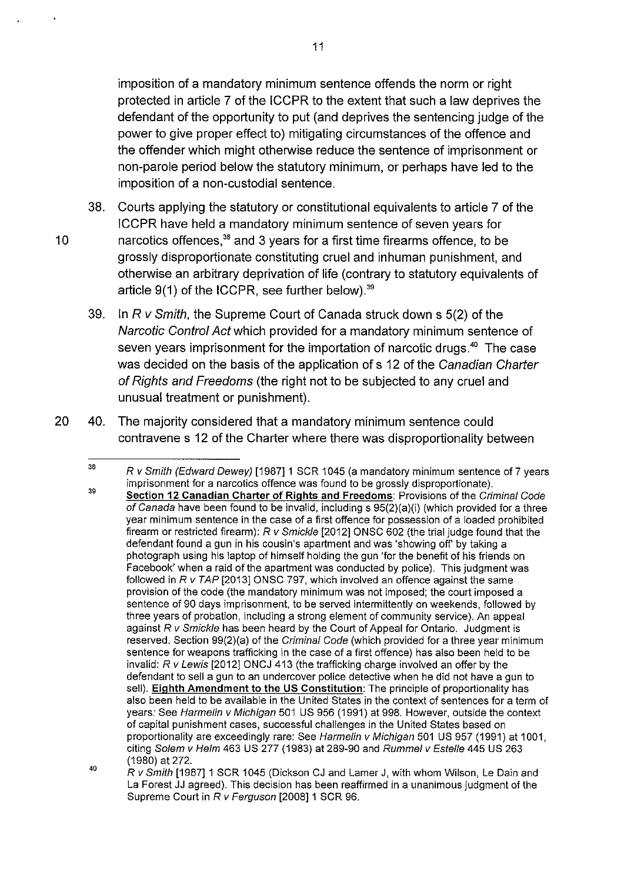imposition of a mandatory minimum sentence offends the norm or right protected in article 7 of the ICCPR to the extent that such a law deprives the defendant of the opportunity to put (and deprives the sentencing judge of the power to give proper effect to) mitigating circumstances of the offence and the offender which might otherwise reduce the sentence of imprisonment or non-parole period below the statutory minimum, or perhaps have led to the imposition of a non-custodial sentence.

- 38. Courts applying the statutory or constitutional equivalents to article 7 of the ICCPR have held a mandatory minimum sentence of seven years for 10 harcotics offences.<sup>38</sup> and 3 years for a first time firearms offence, to be grossly disproportionate constituting cruel and inhuman punishment, and otherwise an arbitrary deprivation of life (contrary to statutory equivalents of article 9(1) of the ICCPR, see further below).<sup>39</sup>
	- 39. In  $R$  v Smith, the Supreme Court of Canada struck down  $s$  5(2) of the Narcotic Control Act which provided for a mandatory minimum sentence of seven years imprisonment for the importation of narcotic drugs.<sup>40</sup> The case was decided on the basis of the application of s 12 of the Canadian Charter of Rights and Freedoms (the right not to be subjected to any cruel and unusual treatment or punishment).
- 20 40. The majority considered that a mandatory minimum sentence could contravene s 12 of the Charter where there was disproportionality between

<sup>38</sup>  39 R v Smith (Edward Dewey) [1987]1 SCR 1045 (a mandatory minimum sentence of 7 years imprisonment for a narcotics offence was found to be grossly disproportionate).

<sup>40</sup>  Section 12 Canadian Charter of Rights and Freedoms: Provisions of the Criminal Code of Canada have been found to be invalid, including  $s$  95(2)(a)(i) (which provided for a three year minimum sentence in the case of a first offence for possession of a loaded prohibited firearm or restricted firearm):  $R$  v Smickle [2012] ONSC 602 (the trial judge found that the defendant found a gun in his cousin's apartment and was 'showing off by taking a photograph using his laptop of himself holding the gun 'for the benefit of his friends on Face book' when a raid of the apartment was conducted by police). This judgment was followed in *R v TAP* [2013] ONSC 797, which involved an offence against the same provision of the code (the mandatory minimum was not imposed; the court imposed a sentence of 90 days imprisonment, to be served intermittently on weekends, followed by three years of probation, including a strong element of community service). An appeal against  $R$  v Smickle has been heard by the Court of Appeal for Ontario. Judgment is reserved. Section 99(2)(a) of the Criminal Code (which provided for a three year minimum sentence for weapons trafficking in the case of a first offence) has also been held to be invalid: R v Lewis [2012] ONCJ 413 (the trafficking charge involved an offer by the defendant to sell a gun to an undercover police detective when he did not have a gun to sell). Eighth Amendment to the US Constitution: The principle of proportionality has also been held to be available in the United States in the context of sentences for a term of years: See Harmelin v Michigan 501 US 956 (1991) at 998. However, outside the context of capital punishment cases, successful challenges in the United States based on proportionality are exceedingly rare: See Harmelin v Michigan 501 US 957 (1991) at 1001, citing Solem v Helm 463 US 277 (1983) at 289-90 and Rummel v Estelle 445 US 263 (1980) at 272.

 $R$  v Smith [1987] 1 SCR 1045 (Dickson CJ and Lamer J, with whom Wilson, Le Dain and La Forest JJ agreed). This decision has been reaffirmed in a unanimous judgment of the Supreme Court in R v Ferguson [2008] 1 SCR 96.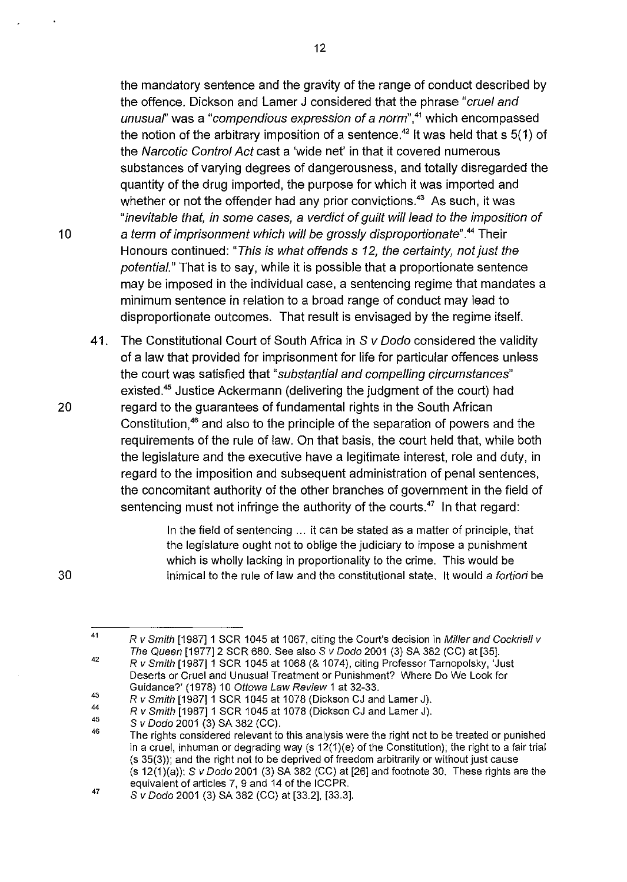the mandatory sentence and the gravity of the range of conduct described by the offence. Dickson and Lamer J considered that the phrase "cruel and unusual" was a "compendious expression of a norm",<sup>41</sup> which encompassed the notion of the arbitrary imposition of a sentence.<sup>42</sup> It was held that s  $5(1)$  of the Narcotic Control Act cast a 'wide net' in that it covered numerous substances of varying degrees of dangerousness, and totally disregarded the quantity of the drug imported, the purpose for which it was imported and whether or not the offender had any prior convictions. $43$  As such, it was "inevitable that, in some cases, a verdict of guilt will lead to the imposition of 10 a term of imprisonment which will be grossly disproportionate".<sup>44</sup> Their Honours continued: "This is what offends s 12, the certainty, not just the potential." That is to say, while it is possible that a proportionate sentence may be imposed in the individual case, a sentencing regime that mandates a minimum sentence in relation to a broad range of conduct may lead to disproportionate outcomes. That result is envisaged by the regime itself.

41. The Constitutional Court of South Africa in S v Dodo considered the validity of a law that provided for imprisonment for life for particular offences unless the court was satisfied that "substantial and compelling circumstances" existed.<sup>45</sup> Justice Ackermann (delivering the judgment of the court) had 20 regard to the guarantees of fundamental rights in the South African Constitution,<sup>46</sup> and also to the principle of the separation of powers and the requirements of the rule of law. On that basis, the court held that, while both the legislature and the executive have a legitimate interest, role and duty, in regard to the imposition and subsequent administration of penal sentences, the concomitant authority of the other branches of government in the field of sentencing must not infringe the authority of the courts. $47$  In that regard:

> In the field of sentencing ... it can be stated as a matter of principle, that the legislature ought not to oblige the judiciary to impose a punishment which is wholly lacking in proportionality to the crime. This would be inimical to the rule of law and the constitutional state. It would a fortiori be

30

41

R v Smith [1987] 1 SCR 1045 at 1067, citing the Court's decision in Miller and Cockriell v The Queen [1977] 2 SCR 680. See also S v Dodo 2001 (3) SA 382 (CC) at [35].

<sup>42</sup>  R v Smith [1987] 1 SCR 1045 at 1068 (& 1074), citing Professor Tarnopolsky, 'Just Deserts or Cruel and Unusual Treatment or Punishment? Where Do We Look for Guidance?' (1978) 10 Ottowa Law Review 1 at 32-33.

<sup>43</sup>  44 R v Smith [1987] 1 SCR 1045 at 1078 (Dickson CJ and Lamer J).

<sup>45</sup>  R v Smith [1987]1 SCR 1045 at 1078 (Dickson CJ and Lamer J).

S v Dodo 2001 (3) SA 382 (CC).

<sup>46</sup>  The rights considered relevant to this analysis were the right not to be treated or punished in a cruel, inhuman or degrading way (s 12(1)(e) of the Constitution); the right to a fair trial (s 35(3)); and the right not to be deprived of freedom arbitrarily or without just cause  $(s 12(1)(a))$ : S v Dodo 2001 (3) SA 382 (CC) at [26] and footnote 30. These rights are the equivalent of articles 7, 9 and 14 of the ICCPR.

<sup>47</sup>  S v Dodo 2001 (3) SA 382 (CC) at [33.2], [33.3].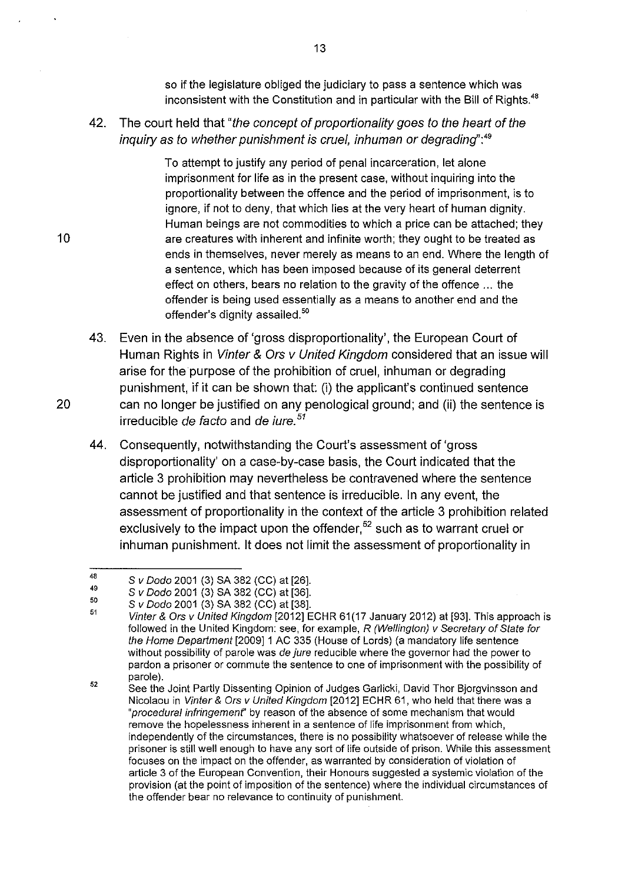so if the legislature obliged the judiciary to pass a sentence which was inconsistent with the Constitution and in particular with the Bill of Rights.<sup>48</sup>

# 42. The court held that "the concept of proportionality goes to the heart of the inquiry as to whether punishment is cruel, inhuman or degrading":*<sup>49</sup>*

To attempt to justify any period of penal incarceration, let alone imprisonment for life as in the present case, without inquiring into the proportionality between the offence and the period of imprisonment, is to ignore, if not to deny, that which lies at the very heart of human dignity. Human beings are not commodities to which a price can be attached; they are creatures with inherent and infinite worth; they ought to be treated as ends in themselves, never merely as means to an end. Where the length of a sentence, which has been imposed because of its general deterrent effect on others, bears no relation to the gravity of the offence ... the offender is being used essentially as a means to another end and the offender's dignity assailed.<sup>50</sup>

- 43. Even in the absence of 'gross disproportionality', the European Court of Human Rights in Vinter & Ors v United Kingdom considered that an issue will arise for the purpose of the prohibition of cruel, inhuman or degrading punishment, if it can be shown that: (i) the applicant's continued sentence 20 can no longer be justified on any penological ground; and (ii) the sentence is irreducible de facto and de *iure*.<sup>51</sup>
	- 44. Consequently, notwithstanding the Court's assessment of 'gross disproportionality' on a case-by-case basis, the Court indicated that the article 3 prohibition may nevertheless be contravened where the sentence cannot be justified and that sentence is irreducible. In any event, the assessment of proportionality in the context of the article 3 prohibition related exclusively to the impact upon the offender, $52$  such as to warrant cruel or inhuman punishment. It does not limit the assessment of proportionality in

<sup>48</sup>  49 S v Dodo 2001 (3) SA 382 (CC) at [26].

<sup>50</sup>  S v Dodo 2001 (3) SA 382 (CC) at [36].

S v Dodo 2001 (3) SA 382 (CC) at [38].

<sup>51</sup>  Vinter & Ors v United Kingdom [2012] ECHR 61(17 January 2012) at [93]. This approach is followed in the United Kingdom: see, for example, R (Wellington) v Secretary of State for the Home Department [2009]1 AC 335 (House of Lords) (a mandatory life sentence without possibility of parole was de jure reducible where the governor had the power to pardon a prisoner or commute the sentence to one of imprisonment with the possibility of parole).

<sup>52</sup>  See the Joint Partly Dissenting Opinion of Judges Garlicki, David Thor Bjorgvinsson and Nicolaou in Vinter & Ors v United Kingdom [2012] ECHR 61, who held that there was a "procedural infringement" by reason of the absence of some mechanism that would remove the hopelessness inherent in a sentence of life imprisonment from which, independently of the circumstances, there is no possibility whatsoever of release while the prisoner is still well enough to have any sort of life outside of prison. While this assessment focuses on the impact on the offender, as warranted by consideration of violation of article 3 of the European Convention, their Honours suggested a systemic violation of the provision (at the point of imposition of the sentence) where the individual circumstances of the offender bear no relevance to continuity of punishment.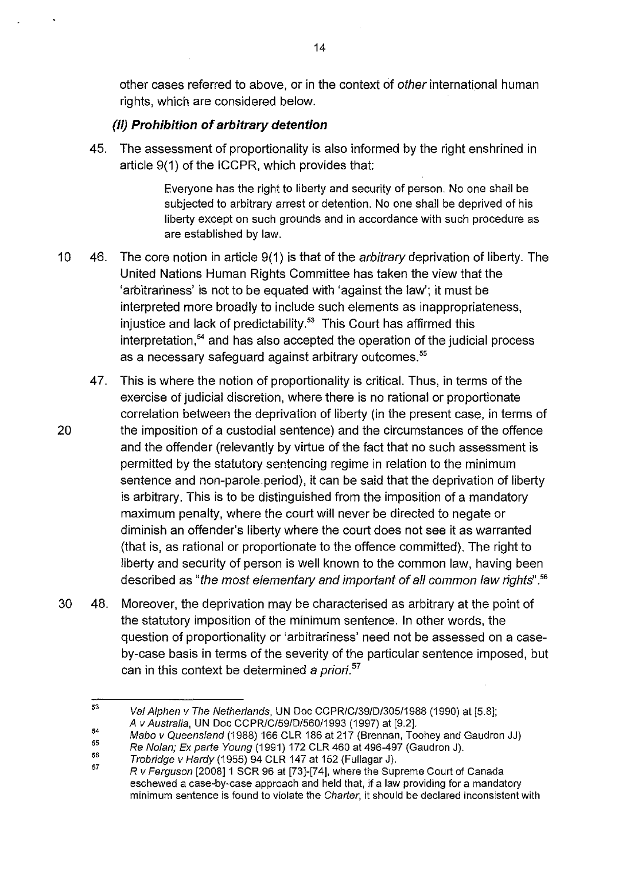other cases referred to above, or in the context of other international human rights, which are considered below.

#### **(ii) Prohibition of arbitrary detention**

45. The assessment of proportionality is also informed by the right enshrined in article 9(1) of the ICCPR, which provides that:

> Everyone has the right to liberty and security of person. No one shall be subjected to arbitrary arrest or detention. No one shall be deprived of his liberty except on such grounds and in accordance with such procedure as are established by law.

- 10 46. The core notion in article 9(1) is that of the arbitrary deprivation of liberty. The United Nations Human Rights Committee has taken the view that the 'arbitrariness' is not to be equated with 'against the law'; it must be interpreted more broadly to include such elements as inappropriateness, injustice and lack of predictability. $53$  This Court has affirmed this interpretation,<sup>54</sup> and has also accepted the operation of the judicial process as a necessary safeguard against arbitrary outcomes.<sup>55</sup>
- 47. This is where the notion of proportionality is critical. Thus, in terms of the exercise of judicial discretion, where there is no rational or proportionate correlation between the deprivation of liberty (in the present case, in terms of 20 the imposition of a custodial sentence) and the circumstances of the offence and the offender (relevantly by virtue of the fact that no such assessment is permitted by the statutory sentencing regime in relation to the minimum sentence and non-parole.period), it can be said that the deprivation of liberty is arbitrary. This is to be distinguished from the imposition of a mandatory maximum penalty, where the court will never be directed to negate or diminish an offender's liberty where the court does not see it as warranted (that is, as rational or proportionate to the offence committed). The right to liberty and security of person is well known to the common law, having been described as "the most elementary and important of all common law rights" . 56
- 30 48. Moreover, the deprivation may be characterised as arbitrary at the point of the statutory imposition of the minimum sentence. In other words, the question of proportionality or 'arbitrariness' need not be assessed on a caseby-case basis in terms of the severity of the particular sentence imposed, but can in this context be determined a priori.<sup>57</sup>

55 Re Nolan; Ex parte Young (1991) 172 CLR 460 at 496-497 (Gaudron J).

<sup>53</sup>  Val Alphen v The Netherlands, UN Doc CCPRIC1391DI30511988 (1990) at [5.8]; A v Australia, UN Doc CCPRICI591DI56011993 (1997) at [9.2].

<sup>54</sup>  Mabo v Queensland (1988) 166 CLR 186 at 217 (Brennan, Toohey and Gaudron JJ)

<sup>56</sup>  Trobridge v Hardy (1955) 94 CLR 147 at 152 (Fullagar J).

<sup>57</sup>  R v Ferguson [2008]1 SCR 96 at [73]-[74], where the Supreme Court of Canada eschewed a case-by-case approach and held that, if a law providing for a mandatory minimum sentence is found to violate the Charter, it should be declared inconsistent with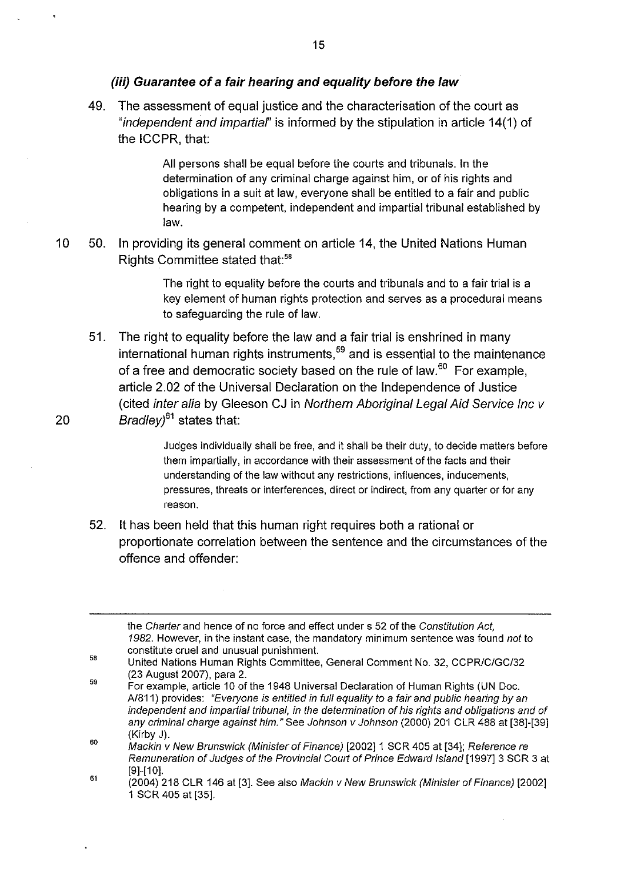#### **(iii) Guarantee of a fair hearing and equality before the law**

49. The assessment of equal justice and the characterisation of the court as "*independent and impartial*" is informed by the stipulation in article 14(1) of the ICCPR, that:

> All persons shall be equal before the courts and tribunals. In the determination of any criminal charge against him, or of his rights and obligations in a suit at law, everyone shall be entitled to a fair and public hearing by a competent, independent and impartial tribunal established by law.

10 50. In providing its general comment on article 14, the United Nations Human Rights Committee stated that:<sup>58</sup>

> The right to equality before the courts and tribunals and to a fair trial is a key element of human rights protection and serves as a procedural means to safeguarding the rule of law.

51. The right to equality before the law and a fair trial is enshrined in many international human rights instruments,<sup>59</sup> and is essential to the maintenance of a free and democratic society based on the rule of law.<sup>60</sup> For example, article 2.02 of the Universal Declaration on the Independence of Justice (cited inter alia by Gleeson CJ in Norlhern Aboriginal Legal Aid Service Inc v 20 Bradley<sup>61</sup> states that:

> Judges individually shall be free, and it shall be their duty, to decide matters before them impartially, in accordance with their assessment of the facts and their understanding of the law without any restrictions, influences, inducements, pressures, threats or interferences, direct or indirect, from any quarter or for any reason.

52. It has been held that this human right requires both a rational or proportionate correlation between the sentence and the circumstances of the offence and offender:

the Charter and hence of no force and effect under s 52 of the Constitution Act, 1982. However, in the instant case, the mandatory minimum sentence was found not to constitute cruel and unusual punishment.

- 58 United Nations Human Rights Committee, General Comment No. 32, CCPR/C/GC/32 (23 August 2007), para 2.
- 59 For example, article 10 of the 1948 Universal Declaration of Human Rights (UN Doc. Al811) provides: "Everyone is entitled in full equality to a fair and public hearing by an independent and impartial tribunal, in the determination of his rights and obligations and of any criminal charge against him." See Johnson v Johnson (2000) 201 CLR 488 at [38]-[39] (Kirby J).

60 Mackin v New Brunswick (Minister of Finance) [2002] 1 SCR 405 at [34]; Reference re Remuneration of Judges of the Provincial Court of Prince Edward Island [1997] 3 SCR 3 at  $[9]$ - $[10]$ .

61 (2004) 218 CLR 146 at [3]. See also Mackin v New Brunswick (Minister of Finance) [2002] 1 SCR 405 at [35].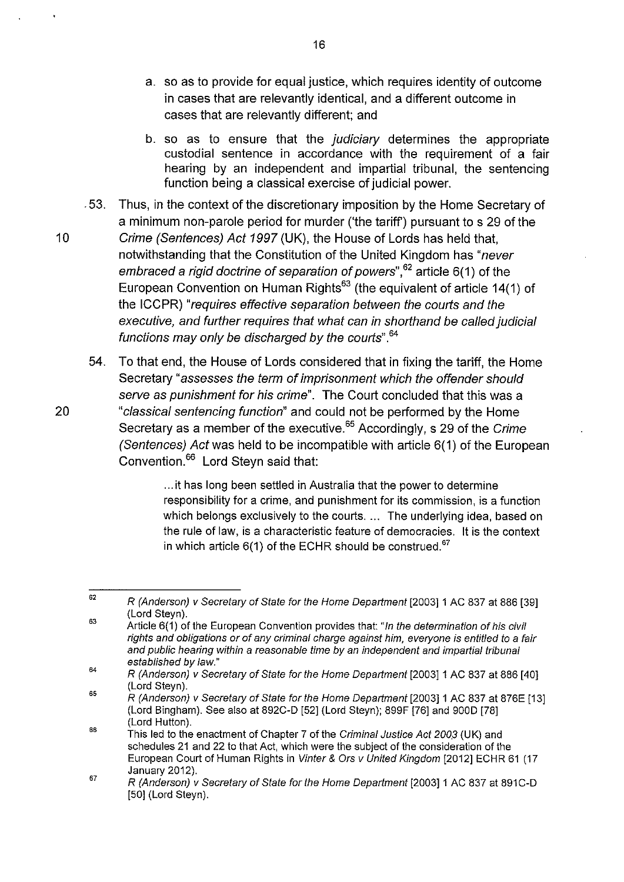- a. so as to provide for equal justice, which requires identity of outcome in cases that are relevantly identical, and a different outcome in cases that are relevantly different; and
- b. so as to ensure that the *judiciary* determines the appropriate custodial sentence in accordance with the requirement of a fair hearing by an independent and impartial tribunal, the sentencing function being a classical exercise of judicial power.
- . 53. Thus, in the context of the discretionary imposition by the Home Secretary of a minimum non-parole period for murder ('the tariff) pursuant to s 29 of the 10 Crime (Sentences) Act 1997 (UK), the House of Lords has held that, notwithstanding that the Constitution of the United Kingdom has "never embraced a rigid doctrine of separation of powers",<sup>62</sup> article 6(1) of the European Convention on Human Rights<sup>63</sup> (the equivalent of article 14(1) of the ICCPR) "requires effective separation between the courts and the executive, and further requires that what can in shorthand be called judicial functions may only be discharged by the courls".*<sup>64</sup>*
- 54. To that end, the House of Lords considered that in fixing the tariff, the Home Secretary "assesses the term of imprisonment which the offender should serve as punishment for his crime". The Court concluded that this was a 20 "classical sentencing function" and could not be performed by the Home Secretary as a member of the executive.<sup>65</sup> Accordingly, s 29 of the Crime (Sentences) Act was held to be incompatible with article 6(1) of the European Convention.<sup>66</sup> Lord Stevn said that:

... it has long been settled in Australia that the power to determine responsibility for a crime, and punishment for its commission, is a function which belongs exclusively to the courts. ... The underlying idea, based on the rule of law, is a characteristic feature of democracies. It is the context in which article  $6(1)$  of the ECHR should be construed.<sup>67</sup>

<sup>62</sup>  R (Anderson) v Secretary of State for the Home Department [2003]1 AC 837 at 886 [39] (Lord Steyn).

<sup>63</sup>  Article 6(1) of the European Convention provides that: "In the determination of his civil rights and obligations or of any criminal charge against him, everyone is entitled to a fair and public hearing within a reasonable time by an independent and impartial tribunal established by law."

<sup>64</sup>  R (Anderson) v Secretary of State for the Home Department [2003]1 AC 837 at 886 [40] (Lord Steyn).

<sup>65</sup>  R (Anderson) v Secretary of State for the Home Department [2003] 1 AC 837 at 876E [13] (Lord Bingham). See also at 892C-D [52] (Lord Steyn); 899F [76] and 9000 [78] (Lord Hutton).

<sup>66</sup>  This led to the enactment of Chapter 7 of the Criminal Justice Act 200.3 (UK) and schedules 21 and 22 to that Act, which were the subject of the consideration of the European Court of Human Rights in Vinter & Ors v United Kingdom [2012] ECHR 61 (17 January 2012).

<sup>67</sup>  R (Anderson) v Secretary of State for the Home Department [2003]1 AC 837 at 891C-D [50] (Lord Steyn).